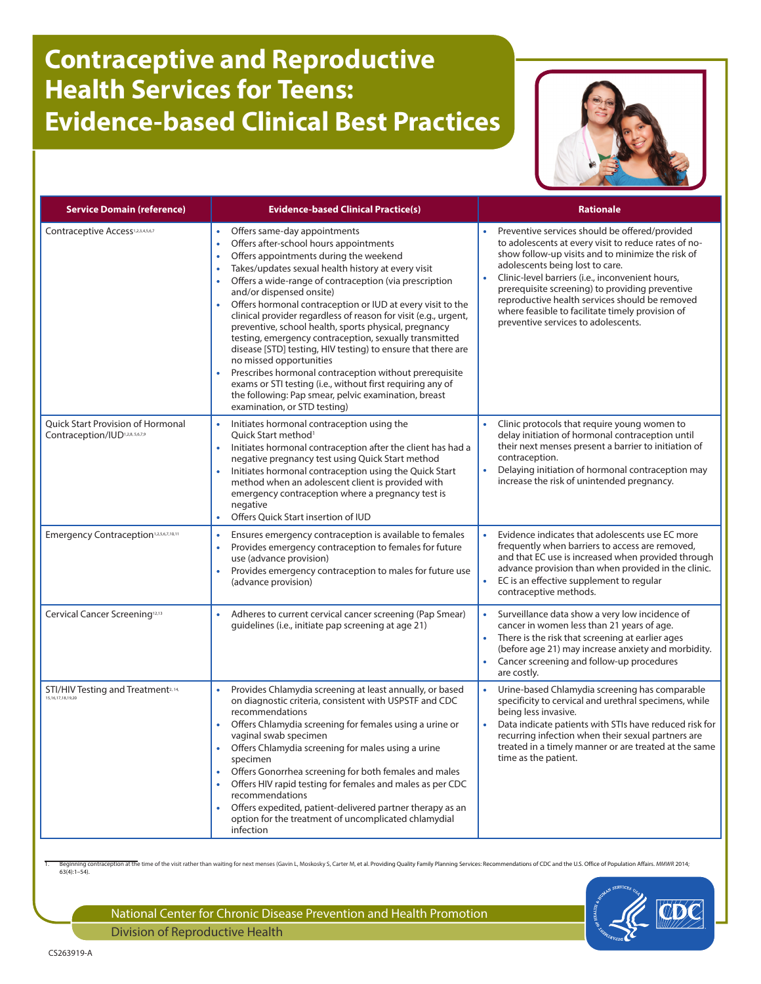## **Contraceptive and Reproductive Health Services for Teens: Evidence-based Clinical Best Practices**



| <b>Service Domain (reference)</b>                                         | <b>Evidence-based Clinical Practice(s)</b>                                                                                                                                                                                                                                                                                                                                                                                                                                                                                                                                                                                                                                                                                                                                                                                               | <b>Rationale</b>                                                                                                                                                                                                                                                                                                                                                                                                                                   |
|---------------------------------------------------------------------------|------------------------------------------------------------------------------------------------------------------------------------------------------------------------------------------------------------------------------------------------------------------------------------------------------------------------------------------------------------------------------------------------------------------------------------------------------------------------------------------------------------------------------------------------------------------------------------------------------------------------------------------------------------------------------------------------------------------------------------------------------------------------------------------------------------------------------------------|----------------------------------------------------------------------------------------------------------------------------------------------------------------------------------------------------------------------------------------------------------------------------------------------------------------------------------------------------------------------------------------------------------------------------------------------------|
| Contraceptive Access <sup>1,2,3,4,5,6,7</sup>                             | Offers same-day appointments<br>Offers after-school hours appointments<br>$\bullet$<br>Offers appointments during the weekend<br>Takes/updates sexual health history at every visit<br>Offers a wide-range of contraception (via prescription<br>and/or dispensed onsite)<br>Offers hormonal contraception or IUD at every visit to the<br>clinical provider regardless of reason for visit (e.g., urgent,<br>preventive, school health, sports physical, pregnancy<br>testing, emergency contraception, sexually transmitted<br>disease [STD] testing, HIV testing) to ensure that there are<br>no missed opportunities<br>Prescribes hormonal contraception without prerequisite<br>exams or STI testing (i.e., without first requiring any of<br>the following: Pap smear, pelvic examination, breast<br>examination, or STD testing) | Preventive services should be offered/provided<br>to adolescents at every visit to reduce rates of no-<br>show follow-up visits and to minimize the risk of<br>adolescents being lost to care.<br>Clinic-level barriers (i.e., inconvenient hours,<br>prerequisite screening) to providing preventive<br>reproductive health services should be removed<br>where feasible to facilitate timely provision of<br>preventive services to adolescents. |
| Quick Start Provision of Hormonal<br>Contraception/IUD1.2.8, 5,6,7,9      | Initiates hormonal contraception using the<br>Ouick Start method <sup>1</sup><br>Initiates hormonal contraception after the client has had a<br>negative pregnancy test using Quick Start method<br>Initiates hormonal contraception using the Quick Start<br>method when an adolescent client is provided with<br>emergency contraception where a pregnancy test is<br>negative<br>Offers Quick Start insertion of IUD                                                                                                                                                                                                                                                                                                                                                                                                                  | Clinic protocols that require young women to<br>delay initiation of hormonal contraception until<br>their next menses present a barrier to initiation of<br>contraception.<br>Delaying initiation of hormonal contraception may<br>$\bullet$<br>increase the risk of unintended pregnancy.                                                                                                                                                         |
| Emergency Contraception <sup>1,2,5,6,7,10,11</sup>                        | Ensures emergency contraception is available to females<br>Provides emergency contraception to females for future<br>use (advance provision)<br>Provides emergency contraception to males for future use<br>$\bullet$<br>(advance provision)                                                                                                                                                                                                                                                                                                                                                                                                                                                                                                                                                                                             | Evidence indicates that adolescents use EC more<br>frequently when barriers to access are removed,<br>and that EC use is increased when provided through<br>advance provision than when provided in the clinic.<br>EC is an effective supplement to regular<br>contraceptive methods.                                                                                                                                                              |
| Cervical Cancer Screening <sup>12,13</sup>                                | Adheres to current cervical cancer screening (Pap Smear)<br>$\bullet$<br>quidelines (i.e., initiate pap screening at age 21)                                                                                                                                                                                                                                                                                                                                                                                                                                                                                                                                                                                                                                                                                                             | Surveillance data show a very low incidence of<br>cancer in women less than 21 years of age.<br>There is the risk that screening at earlier ages<br>(before age 21) may increase anxiety and morbidity.<br>Cancer screening and follow-up procedures<br>are costly.                                                                                                                                                                                |
| STI/HIV Testing and Treatment <sup>2, 14,</sup><br>15, 16, 17, 18, 19, 20 | Provides Chlamydia screening at least annually, or based<br>on diagnostic criteria, consistent with USPSTF and CDC<br>recommendations<br>Offers Chlamydia screening for females using a urine or<br>vaginal swab specimen<br>Offers Chlamydia screening for males using a urine<br>specimen<br>Offers Gonorrhea screening for both females and males<br>Offers HIV rapid testing for females and males as per CDC<br>recommendations<br>Offers expedited, patient-delivered partner therapy as an<br>option for the treatment of uncomplicated chlamydial<br>infection                                                                                                                                                                                                                                                                   | Urine-based Chlamydia screening has comparable<br>specificity to cervical and urethral specimens, while<br>being less invasive.<br>Data indicate patients with STIs have reduced risk for<br>$\bullet$<br>recurring infection when their sexual partners are<br>treated in a timely manner or are treated at the same<br>time as the patient.                                                                                                      |

aception at the time of the visit rather than waiting for next menses (Gavin L, Moskosky S, Carter M, et al. Providing Quality Family Planning Services: Recommendations of CDC and the U.S. Office of Population Affairs. MMW Beginning of<br>63(4):1–54).

National Center for Chronic Disease Prevention and Health Promotion Division of Reproductive Health